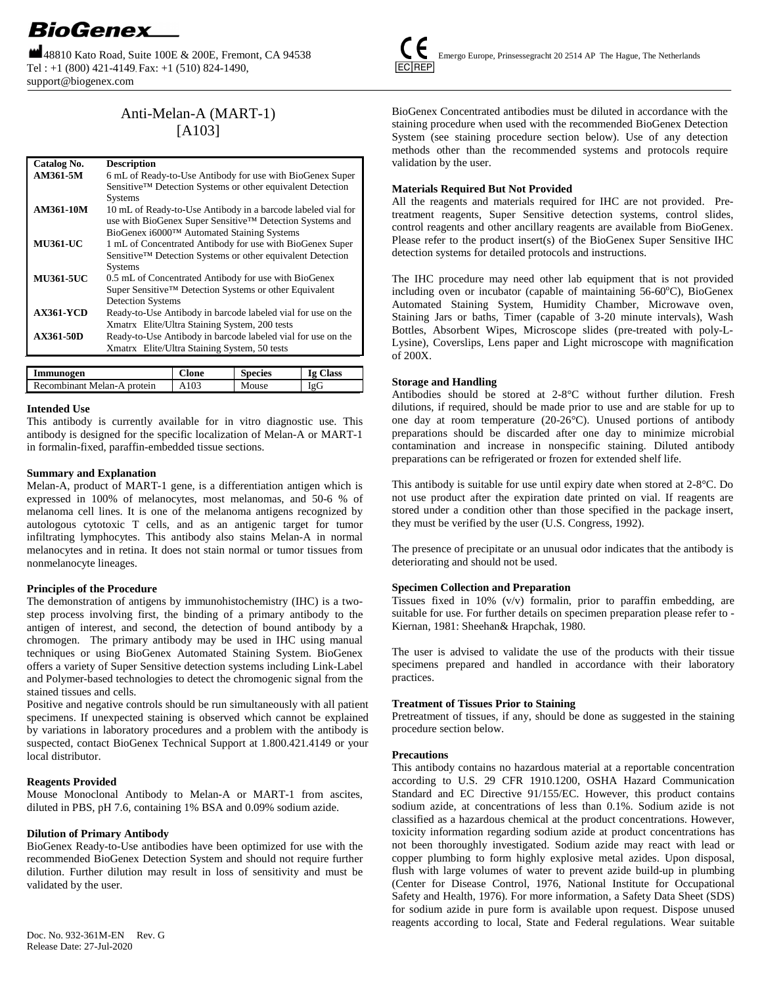Tel : +1 (800) 421-4149, Fax: +1 (510) 824-1490, support@biogenex.com



# Anti-Melan-A (MART-1) [A103]

| Catalog No.      | <b>Description</b>                                           |
|------------------|--------------------------------------------------------------|
| AM361-5M         | 6 mL of Ready-to-Use Antibody for use with BioGenex Super    |
|                  | Sensitive™ Detection Systems or other equivalent Detection   |
|                  | <b>Systems</b>                                               |
| AM361-10M        | 10 mL of Ready-to-Use Antibody in a barcode labeled vial for |
|                  | use with BioGenex Super Sensitive™ Detection Systems and     |
|                  | BioGenex i6000™ Automated Staining Systems                   |
| <b>MU361-UC</b>  | 1 mL of Concentrated Antibody for use with BioGenex Super    |
|                  | Sensitive™ Detection Systems or other equivalent Detection   |
|                  | <b>Systems</b>                                               |
| <b>MU361-5UC</b> | 0.5 mL of Concentrated Antibody for use with BioGenex        |
|                  | Super Sensitive™ Detection Systems or other Equivalent       |
|                  | <b>Detection Systems</b>                                     |
| <b>AX361-YCD</b> | Ready-to-Use Antibody in barcode labeled vial for use on the |
|                  | Xmatrx® Elite/Ultra Staining System, 200 tests               |
| <b>AX361-50D</b> | Ready-to-Use Antibody in barcode labeled vial for use on the |
|                  | Xmatrx <sup>®</sup> Elite/Ultra Staining System, 50 tests    |

| Immunogen                   | Clone | <b>Species</b> | <b>Ig Class</b> |
|-----------------------------|-------|----------------|-----------------|
| Recombinant Melan-A protein | A103  | Mouse          | IgG             |

## **Intended Use**

This antibody is currently available for in vitro diagnostic use. This antibody is designed for the specific localization of Melan-A or MART-1 in formalin-fixed, paraffin-embedded tissue sections.

## **Summary and Explanation**

Melan-A, product of MART-1 gene, is a differentiation antigen which is expressed in 100% of melanocytes, most melanomas, and 50-6 % of melanoma cell lines. It is one of the melanoma antigens recognized by autologous cytotoxic T cells, and as an antigenic target for tumor infiltrating lymphocytes. This antibody also stains Melan-A in normal melanocytes and in retina. It does not stain normal or tumor tissues from nonmelanocyte lineages.

## **Principles of the Procedure**

The demonstration of antigens by immunohistochemistry (IHC) is a twostep process involving first, the binding of a primary antibody to the antigen of interest, and second, the detection of bound antibody by a chromogen. The primary antibody may be used in IHC using manual techniques or using BioGenex Automated Staining System. BioGenex offers a variety of Super Sensitive detection systems including Link-Label and Polymer-based technologies to detect the chromogenic signal from the stained tissues and cells.

Positive and negative controls should be run simultaneously with all patient specimens. If unexpected staining is observed which cannot be explained by variations in laboratory procedures and a problem with the antibody is suspected, contact BioGenex Technical Support at 1.800.421.4149 or your local distributor.

## **Reagents Provided**

Mouse Monoclonal Antibody to Melan-A or MART-1 from ascites, diluted in PBS, pH 7.6, containing 1% BSA and 0.09% sodium azide.

# **Dilution of Primary Antibody**

Release Date: 27-Jul-2020

BioGenex Ready-to-Use antibodies have been optimized for use with the recommended BioGenex Detection System and should not require further dilution. Further dilution may result in loss of sensitivity and must be validated by the user.

BioGenex Concentrated antibodies must be diluted in accordance with the staining procedure when used with the recommended BioGenex Detection System (see staining procedure section below). Use of any detection methods other than the recommended systems and protocols require validation by the user.

# **Materials Required But Not Provided**

All the reagents and materials required for IHC are not provided. Pretreatment reagents, Super Sensitive detection systems, control slides, control reagents and other ancillary reagents are available from BioGenex. Please refer to the product insert(s) of the BioGenex Super Sensitive IHC detection systems for detailed protocols and instructions.

The IHC procedure may need other lab equipment that is not provided including oven or incubator (capable of maintaining  $56-60^{\circ}$ C), BioGenex Automated Staining System, Humidity Chamber, Microwave oven, Staining Jars or baths, Timer (capable of 3-20 minute intervals), Wash Bottles, Absorbent Wipes, Microscope slides (pre-treated with poly-L-Lysine), Coverslips, Lens paper and Light microscope with magnification of 200X.

## **Storage and Handling**

Antibodies should be stored at 2-8°C without further dilution. Fresh dilutions, if required, should be made prior to use and are stable for up to one day at room temperature (20-26°C). Unused portions of antibody preparations should be discarded after one day to minimize microbial contamination and increase in nonspecific staining. Diluted antibody preparations can be refrigerated or frozen for extended shelf life.

This antibody is suitable for use until expiry date when stored at 2-8°C. Do not use product after the expiration date printed on vial. If reagents are stored under a condition other than those specified in the package insert, they must be verified by the user (U.S. Congress, 1992).

The presence of precipitate or an unusual odor indicates that the antibody is deteriorating and should not be used.

## **Specimen Collection and Preparation**

Tissues fixed in 10% (v/v) formalin, prior to paraffin embedding, are suitable for use. For further details on specimen preparation please refer to - Kiernan, 1981: Sheehan& Hrapchak, 1980.

The user is advised to validate the use of the products with their tissue specimens prepared and handled in accordance with their laboratory practices.

## **Treatment of Tissues Prior to Staining**

Pretreatment of tissues, if any, should be done as suggested in the staining procedure section below.

## **Precautions**

This antibody contains no hazardous material at a reportable concentration according to U.S. 29 CFR 1910.1200, OSHA Hazard Communication Standard and EC Directive 91/155/EC. However, this product contains sodium azide, at concentrations of less than 0.1%. Sodium azide is not classified as a hazardous chemical at the product concentrations. However, toxicity information regarding sodium azide at product concentrations has not been thoroughly investigated. Sodium azide may react with lead or copper plumbing to form highly explosive metal azides. Upon disposal, flush with large volumes of water to prevent azide build-up in plumbing (Center for Disease Control, 1976, National Institute for Occupational Safety and Health, 1976). For more information, a Safety Data Sheet (SDS) for sodium azide in pure form is available upon request. Dispose unused reagents according to local, State and Federal regulations. Wear suitable